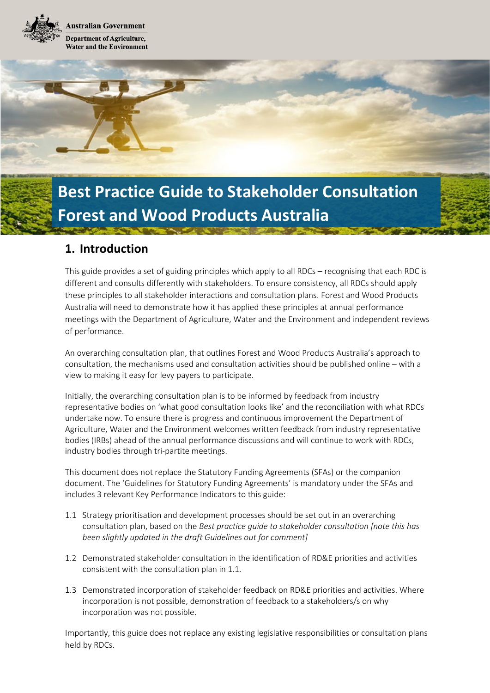**Australian Government Department of Agriculture, Water and the Environment** 



# **1. Introduction**

This guide provides a set of guiding principles which apply to all RDCs – recognising that each RDC is different and consults differently with stakeholders. To ensure consistency, all RDCs should apply these principles to all stakeholder interactions and consultation plans. Forest and Wood Products Australia will need to demonstrate how it has applied these principles at annual performance meetings with the Department of Agriculture, Water and the Environment and independent reviews of performance.

An overarching consultation plan, that outlines Forest and Wood Products Australia's approach to consultation, the mechanisms used and consultation activities should be published online – with a view to making it easy for levy payers to participate.

Initially, the overarching consultation plan is to be informed by feedback from industry representative bodies on 'what good consultation looks like' and the reconciliation with what RDCs undertake now. To ensure there is progress and continuous improvement the Department of Agriculture, Water and the Environment welcomes written feedback from industry representative bodies (IRBs) ahead of the annual performance discussions and will continue to work with RDCs, industry bodies through tri-partite meetings.

This document does not replace the Statutory Funding Agreements (SFAs) or the companion document. The 'Guidelines for Statutory Funding Agreements' is mandatory under the SFAs and includes 3 relevant Key Performance Indicators to this guide:

- 1.1 Strategy prioritisation and development processes should be set out in an overarching consultation plan, based on the *Best practice guide to stakeholder consultation [note this has been slightly updated in the draft Guidelines out for comment]*
- 1.2 Demonstrated stakeholder consultation in the identification of RD&E priorities and activities consistent with the consultation plan in 1.1.
- 1.3 Demonstrated incorporation of stakeholder feedback on RD&E priorities and activities. Where incorporation is not possible, demonstration of feedback to a stakeholders/s on why incorporation was not possible.

Importantly, this guide does not replace any existing legislative responsibilities or consultation plans held by RDCs.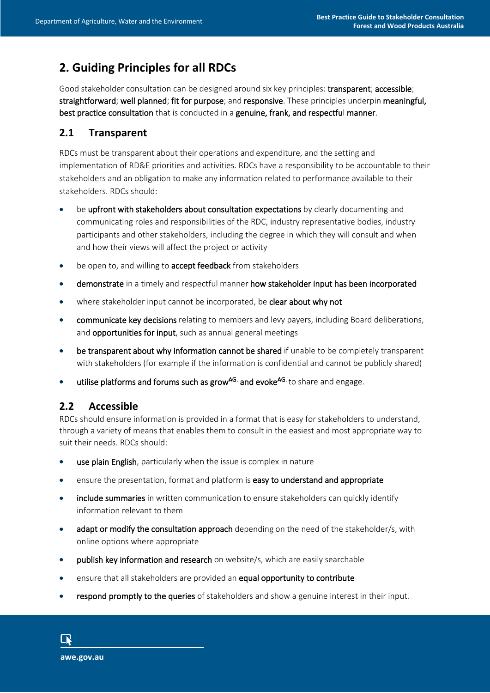# **2. Guiding Principles for all RDCs**

Good stakeholder consultation can be designed around six key principles: transparent; accessible; straightforward; well planned; fit for purpose; and responsive. These principles underpin meaningful, best practice consultation that is conducted in a genuine, frank, and respectful manner.

### **2.1 Transparent**

RDCs must be transparent about their operations and expenditure, and the setting and implementation of RD&E priorities and activities. RDCs have a responsibility to be accountable to their stakeholders and an obligation to make any information related to performance available to their stakeholders. RDCs should:

- be upfront with stakeholders about consultation expectations by clearly documenting and communicating roles and responsibilities of the RDC, industry representative bodies, industry participants and other stakeholders, including the degree in which they will consult and when and how their views will affect the project or activity
- be open to, and willing to accept feedback from stakeholders
- demonstrate in a timely and respectful manner how stakeholder input has been incorporated
- where stakeholder input cannot be incorporated, be clear about why not
- communicate key decisions relating to members and levy payers, including Board deliberations, and opportunities for input, such as annual general meetings
- be transparent about why information cannot be shared if unable to be completely transparent with stakeholders (for example if the information is confidential and cannot be publicly shared)
- utilise platforms and forums such as grow<sup>AG.</sup> and evoke<sup>AG.</sup> to share and engage.

#### **2.2 Accessible**

RDCs should ensure information is provided in a format that is easy for stakeholders to understand, through a variety of means that enables them to consult in the easiest and most appropriate way to suit their needs. RDCs should:

- use plain English, particularly when the issue is complex in nature
- ensure the presentation, format and platform is easy to understand and appropriate
- include summaries in written communication to ensure stakeholders can quickly identify information relevant to them
- adapt or modify the consultation approach depending on the need of the stakeholder/s, with online options where appropriate
- publish key information and research on website/s, which are easily searchable
- ensure that all stakeholders are provided an equal opportunity to contribute
- respond promptly to the queries of stakeholders and show a genuine interest in their input.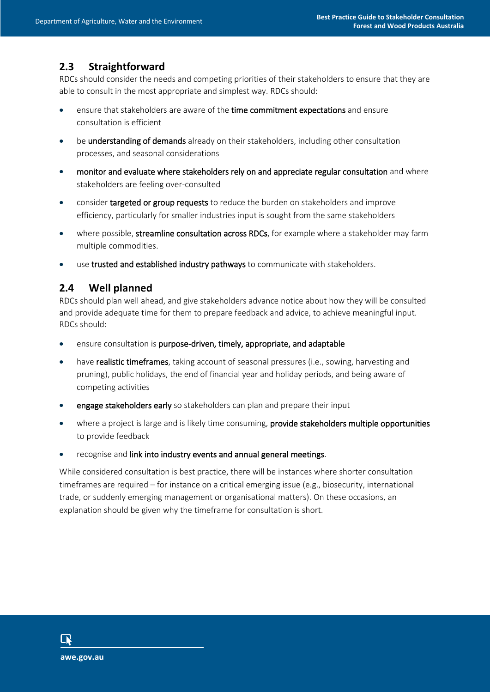# **2.3 Straightforward**

RDCs should consider the needs and competing priorities of their stakeholders to ensure that they are able to consult in the most appropriate and simplest way. RDCs should:

- ensure that stakeholders are aware of the time commitment expectations and ensure consultation is efficient
- be **understanding of demands** already on their stakeholders, including other consultation processes, and seasonal considerations
- monitor and evaluate where stakeholders rely on and appreciate regular consultation and where stakeholders are feeling over-consulted
- consider targeted or group requests to reduce the burden on stakeholders and improve efficiency, particularly for smaller industries input is sought from the same stakeholders
- where possible, streamline consultation across RDCs, for example where a stakeholder may farm multiple commodities.
- use trusted and established industry pathways to communicate with stakeholders.

#### **2.4 Well planned**

RDCs should plan well ahead, and give stakeholders advance notice about how they will be consulted and provide adequate time for them to prepare feedback and advice, to achieve meaningful input. RDCs should:

- ensure consultation is purpose-driven, timely, appropriate, and adaptable
- have realistic timeframes, taking account of seasonal pressures (i.e., sowing, harvesting and pruning), public holidays, the end of financial year and holiday periods, and being aware of competing activities
- engage stakeholders early so stakeholders can plan and prepare their input
- where a project is large and is likely time consuming, provide stakeholders multiple opportunities to provide feedback
- recognise and link into industry events and annual general meetings.

While considered consultation is best practice, there will be instances where shorter consultation timeframes are required – for instance on a critical emerging issue (e.g., biosecurity, international trade, or suddenly emerging management or organisational matters). On these occasions, an explanation should be given why the timeframe for consultation is short.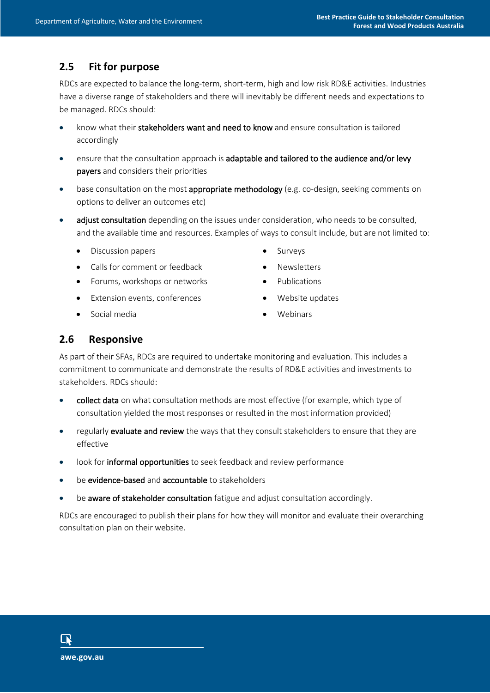# **2.5 Fit for purpose**

RDCs are expected to balance the long-term, short-term, high and low risk RD&E activities. Industries have a diverse range of stakeholders and there will inevitably be different needs and expectations to be managed. RDCs should:

- know what their stakeholders want and need to know and ensure consultation is tailored accordingly
- ensure that the consultation approach is adaptable and tailored to the audience and/or levy payers and considers their priorities
- base consultation on the most appropriate methodology (e.g. co-design, seeking comments on options to deliver an outcomes etc)
- adjust consultation depending on the issues under consideration, who needs to be consulted, and the available time and resources. Examples of ways to consult include, but are not limited to:
	- Discussion papers **•** Surveys
	- Calls for comment or feedback Newsletters
	- Forums, workshops or networks **•** Publications
	- Extension events, conferences Website updates
- 
- 
- -
	- Social media Webinars

### **2.6 Responsive**

As part of their SFAs, RDCs are required to undertake monitoring and evaluation. This includes a commitment to communicate and demonstrate the results of RD&E activities and investments to stakeholders. RDCs should:

- collect data on what consultation methods are most effective (for example, which type of consultation yielded the most responses or resulted in the most information provided)
- regularly evaluate and review the ways that they consult stakeholders to ensure that they are effective
- look for informal opportunities to seek feedback and review performance
- be **evidence-based** and **accountable** to stakeholders
- be aware of stakeholder consultation fatigue and adjust consultation accordingly.

RDCs are encouraged to publish their plans for how they will monitor and evaluate their overarching consultation plan on their website.